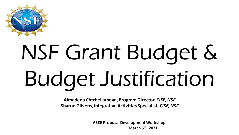

# NSF Grant Budget & Budget Justification

**Almadena Chtchelkanova, Program Director,** *CISE, NSF* **Sharon Glivens, Integrative Activities Specialist,** *CISE, NSF*

> **ASEE Proposal Development Workshop March 5th, 2021**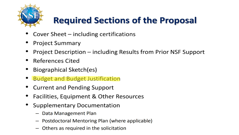

## **Required Sections of the Proposal**

- Cover Sheet  $-$  including certifications
- **Project Summary**
- Project Description including Results from Prior NSF Support
- **References Cited**
- Biographical Sketch(es)
- Budget and Budget Justification
- **Current and Pending Support**
- Facilities, Equipment & Other Resources
- **Supplementary Documentation** 
	- Data Management Plan
	- Postdoctoral Mentoring Plan (where applicable)
	- Others as required in the solicitation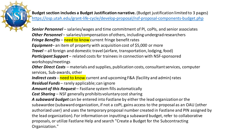**Budget section includes a Budget Justification narrative.** (Budget justification limited to 3 pages) <https://osp.utah.edu/grant-life-cycle/develop-proposal/nsf-proposal-components-budget.php>

*Senior Personnel* – salaries/wages and time commitment of PI, coPIs, and senior associates **Other Personnel** – salaries/compensation of others, including undergrad researchers *Fringe Benefits – need to know current fringe benefit rates Equipment*– an item of property with acquisition cost of \$5,000 or more *Travel* – all foreign and domestic travel (airfare, transportation, lodging, food) *Participant Support* – related costs for trainees in connection with NSF-sponsored workshops/meetings *Other Direct Costs* – materials and supplies, publication costs, consultant services, computer services, Sub-awards, other *Indirect costs -* need to know current and upcoming F&A (facility and admin) rates *Residual Funds* – rarely applicable; can ignore *Amount of this Request* – Fastlane system fills automatically *Cost Sharing* – NSF generally prohibits voluntary cost sharing *A subaward budget* can be entered into Fastlane by either the lead organization or the subawardee (subaward organization, if not a coPI, gains access to the proposal as an OAU {other authorized user} and uses the temporary proposal number created in Fastlane and PIN assigned by the lead organization). For information on inputting a subaward budget, refer to collaborative proposals, or utilize Fastlane Help and search "Create a Budget for the Subcontracting Organization."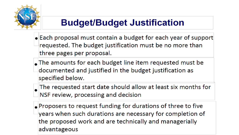

#### **Budget/Budget Justification**

- Each proposal must contain a budget for each year of support requested. The budget justification must be no more than three pages per proposal.
- The amounts for each budget line item requested must be documented and justified in the budget justification as specified below.
- $\Box$  The requested start date should allow at least six months for NSF review, processing and decision
- $\left| \bullet \right|$ Proposers to request funding for durations of three to five years when such durations are necessary for completion of the proposed work and are technically and managerially advantageous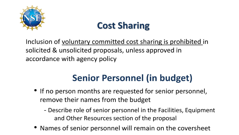

### **Cost Sharing**

Inclusion of voluntary committed cost sharing is prohibited in solicited & unsolicited proposals, unless approved in accordance with agency policy

## **Senior Personnel (in budget)**

- If no person months are requested for senior personnel, remove their names from the budget
	- Describe role of senior personnel in the Facilities, Equipment and Other Resources section of the proposal
- Names of senior personnel will remain on the coversheet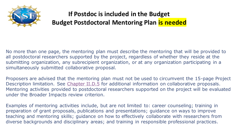

#### **If Postdoc is included in the Budget Budget Postdoctoral Mentoring Plan is needed**

No more than one page, the mentoring plan must describe the mentoring that will be provided to all postdoctoral researchers supported by the project, regardless of whether they reside at the submitting organization, any subrecipient organization, or at any organization participating in a simultaneously submitted collaborative proposal.

Proposers are advised that the mentoring plan must not be used to circumvent the 15-page Project Description limitation. See [Chapter II.D.5](https://www.nsf.gov/pubs/policydocs/pappg19_1/pappg_2.jsp) for additional information on collaborative proposals. Mentoring activities provided to postdoctoral researchers supported on the project will be evaluated under the Broader Impacts review criterion.

Examples of mentoring activities include, but are not limited to: career counseling; training in preparation of grant proposals, publications and presentations; guidance on ways to improve teaching and mentoring skills; guidance on how to effectively collaborate with researchers from diverse backgrounds and disciplinary areas; and training in responsible professional practices.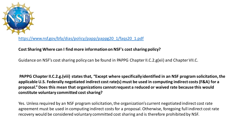

[https://www.nsf.gov/bfa/dias/policy/papp/pappg20\\_1/faqs20\\_1.pdf](https://www.nsf.gov/bfa/dias/policy/papp/pappg20_1/faqs20_1.pdf)

#### **Cost Sharing Where can I find more information on NSF's cost sharing policy?**

Guidance on NSF's cost sharing policy can be found in PAPPG Chapter II.C.2.g(xii) and Chapter VII.C.

**PAPPG Chapter II.C.2.g.(viii) states that, "Except where specifically identified in an NSF program solicitation, the applicable U.S. Federally negotiated indirect cost rate(s) must be used in computing indirect costs (F&A) for a proposal." Does this mean that organizations cannot request a reduced or waived rate because this would constitute voluntary committed cost sharing?** 

Yes. Unless required by an NSF program solicitation, the organization's current negotiated indirect cost rate agreement must be used in computing indirect costs for a proposal. Otherwise, foregoing full indirect cost rate recovery would be considered voluntary committed cost sharing and is therefore prohibited by NSF.